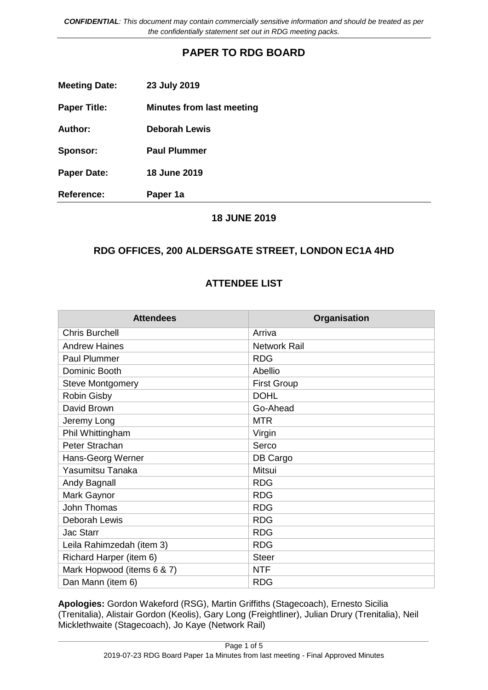*CONFIDENTIAL: This document may contain commercially sensitive information and should be treated as per the confidentially statement set out in RDG meeting packs.*

## **PAPER TO RDG BOARD**

| <b>Meeting Date:</b> | 23 July 2019                     |
|----------------------|----------------------------------|
| <b>Paper Title:</b>  | <b>Minutes from last meeting</b> |
| Author:              | <b>Deborah Lewis</b>             |
| Sponsor:             | <b>Paul Plummer</b>              |
| <b>Paper Date:</b>   | <b>18 June 2019</b>              |
| <b>Reference:</b>    | Paper 1a                         |

### **18 JUNE 2019**

### **RDG OFFICES, 200 ALDERSGATE STREET, LONDON EC1A 4HD**

### **ATTENDEE LIST**

| <b>Attendees</b>           | Organisation        |
|----------------------------|---------------------|
| <b>Chris Burchell</b>      | Arriva              |
| <b>Andrew Haines</b>       | <b>Network Rail</b> |
| Paul Plummer               | <b>RDG</b>          |
| Dominic Booth              | Abellio             |
| <b>Steve Montgomery</b>    | <b>First Group</b>  |
| Robin Gisby                | <b>DOHL</b>         |
| David Brown                | Go-Ahead            |
| Jeremy Long                | <b>MTR</b>          |
| Phil Whittingham           | Virgin              |
| Peter Strachan             | Serco               |
| Hans-Georg Werner          | DB Cargo            |
| Yasumitsu Tanaka           | Mitsui              |
| Andy Bagnall               | <b>RDG</b>          |
| Mark Gaynor                | <b>RDG</b>          |
| <b>John Thomas</b>         | <b>RDG</b>          |
| Deborah Lewis              | <b>RDG</b>          |
| <b>Jac Starr</b>           | <b>RDG</b>          |
| Leila Rahimzedah (item 3)  | <b>RDG</b>          |
| Richard Harper (item 6)    | <b>Steer</b>        |
| Mark Hopwood (items 6 & 7) | <b>NTF</b>          |
| Dan Mann (item 6)          | <b>RDG</b>          |

**Apologies:** Gordon Wakeford (RSG), Martin Griffiths (Stagecoach), Ernesto Sicilia (Trenitalia), Alistair Gordon (Keolis), Gary Long (Freightliner), Julian Drury (Trenitalia), Neil Micklethwaite (Stagecoach), Jo Kaye (Network Rail)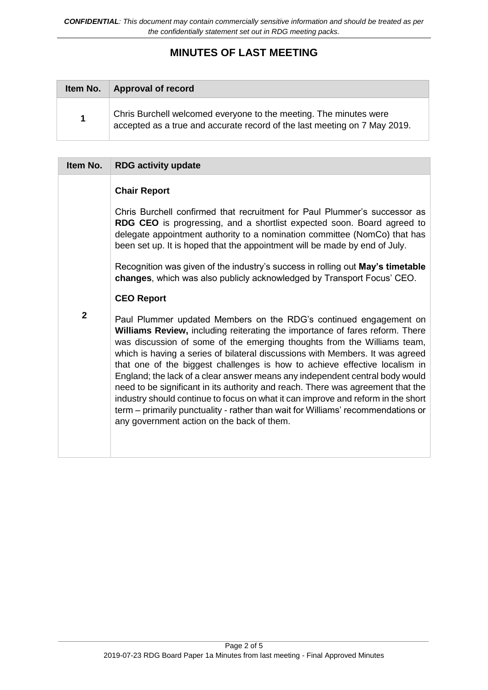# **MINUTES OF LAST MEETING**

| Item No.             | <b>Approval of record</b>                                                                                                                      |
|----------------------|------------------------------------------------------------------------------------------------------------------------------------------------|
| $\blacktriangleleft$ | Chris Burchell welcomed everyone to the meeting. The minutes were<br>accepted as a true and accurate record of the last meeting on 7 May 2019. |

| Item No.       | <b>RDG activity update</b>                                                                                                                                                                                                                                                                                                                                                                                                                                                                                                                                                                                                                                                                                                                                                                  |  |  |
|----------------|---------------------------------------------------------------------------------------------------------------------------------------------------------------------------------------------------------------------------------------------------------------------------------------------------------------------------------------------------------------------------------------------------------------------------------------------------------------------------------------------------------------------------------------------------------------------------------------------------------------------------------------------------------------------------------------------------------------------------------------------------------------------------------------------|--|--|
|                | <b>Chair Report</b>                                                                                                                                                                                                                                                                                                                                                                                                                                                                                                                                                                                                                                                                                                                                                                         |  |  |
|                | Chris Burchell confirmed that recruitment for Paul Plummer's successor as<br>RDG CEO is progressing, and a shortlist expected soon. Board agreed to<br>delegate appointment authority to a nomination committee (NomCo) that has<br>been set up. It is hoped that the appointment will be made by end of July.                                                                                                                                                                                                                                                                                                                                                                                                                                                                              |  |  |
|                | Recognition was given of the industry's success in rolling out May's timetable<br>changes, which was also publicly acknowledged by Transport Focus' CEO.                                                                                                                                                                                                                                                                                                                                                                                                                                                                                                                                                                                                                                    |  |  |
|                | <b>CEO Report</b>                                                                                                                                                                                                                                                                                                                                                                                                                                                                                                                                                                                                                                                                                                                                                                           |  |  |
| $\overline{2}$ | Paul Plummer updated Members on the RDG's continued engagement on<br><b>Williams Review, including reiterating the importance of fares reform. There</b><br>was discussion of some of the emerging thoughts from the Williams team,<br>which is having a series of bilateral discussions with Members. It was agreed<br>that one of the biggest challenges is how to achieve effective localism in<br>England; the lack of a clear answer means any independent central body would<br>need to be significant in its authority and reach. There was agreement that the<br>industry should continue to focus on what it can improve and reform in the short<br>term – primarily punctuality - rather than wait for Williams' recommendations or<br>any government action on the back of them. |  |  |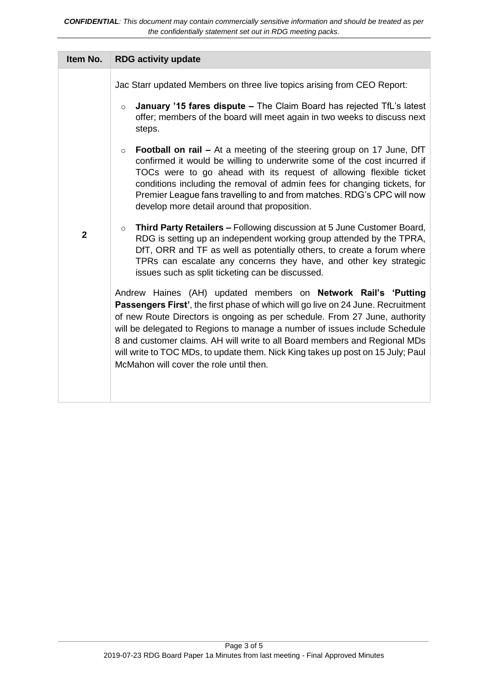| Item No.       | <b>RDG activity update</b>                                                                                                                                                                                                                                                                                                                                                                                                                                                                                                |
|----------------|---------------------------------------------------------------------------------------------------------------------------------------------------------------------------------------------------------------------------------------------------------------------------------------------------------------------------------------------------------------------------------------------------------------------------------------------------------------------------------------------------------------------------|
|                | Jac Starr updated Members on three live topics arising from CEO Report:                                                                                                                                                                                                                                                                                                                                                                                                                                                   |
|                | January '15 fares dispute - The Claim Board has rejected TfL's latest<br>$\circ$<br>offer; members of the board will meet again in two weeks to discuss next<br>steps.                                                                                                                                                                                                                                                                                                                                                    |
|                | <b>Football on rail - At a meeting of the steering group on 17 June, DfT</b><br>$\circ$<br>confirmed it would be willing to underwrite some of the cost incurred if<br>TOCs were to go ahead with its request of allowing flexible ticket<br>conditions including the removal of admin fees for changing tickets, for<br>Premier League fans travelling to and from matches. RDG's CPC will now<br>develop more detail around that proposition.                                                                           |
| $\overline{2}$ | Third Party Retailers - Following discussion at 5 June Customer Board,<br>$\circ$<br>RDG is setting up an independent working group attended by the TPRA,<br>DfT, ORR and TF as well as potentially others, to create a forum where<br>TPRs can escalate any concerns they have, and other key strategic<br>issues such as split ticketing can be discussed.                                                                                                                                                              |
|                | Andrew Haines (AH) updated members on Network Rail's 'Putting<br>Passengers First', the first phase of which will go live on 24 June. Recruitment<br>of new Route Directors is ongoing as per schedule. From 27 June, authority<br>will be delegated to Regions to manage a number of issues include Schedule<br>8 and customer claims. AH will write to all Board members and Regional MDs<br>will write to TOC MDs, to update them. Nick King takes up post on 15 July; Paul<br>McMahon will cover the role until then. |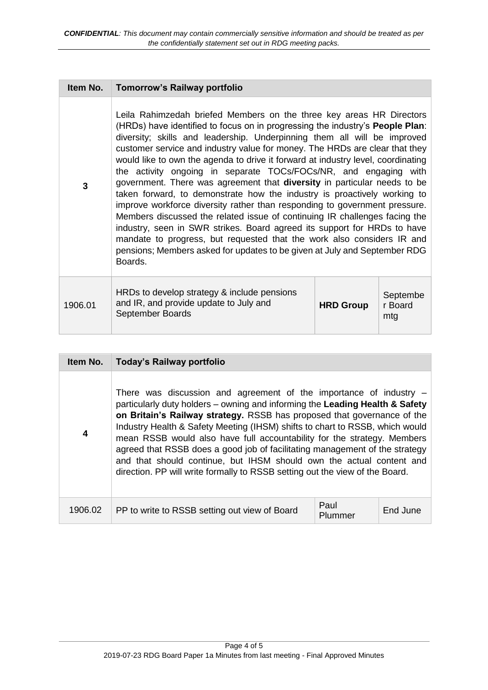| Item No.     | <b>Tomorrow's Railway portfolio</b>                                                                                                                                                                                                                                                                                                                                                                                                                                                                                                                                                                                                                                                                                                                                                                                                                                                                                                                                                                                                                |                  |                            |
|--------------|----------------------------------------------------------------------------------------------------------------------------------------------------------------------------------------------------------------------------------------------------------------------------------------------------------------------------------------------------------------------------------------------------------------------------------------------------------------------------------------------------------------------------------------------------------------------------------------------------------------------------------------------------------------------------------------------------------------------------------------------------------------------------------------------------------------------------------------------------------------------------------------------------------------------------------------------------------------------------------------------------------------------------------------------------|------------------|----------------------------|
| $\mathbf{3}$ | Leila Rahimzedah briefed Members on the three key areas HR Directors<br>(HRDs) have identified to focus on in progressing the industry's <b>People Plan</b> :<br>diversity; skills and leadership. Underpinning them all will be improved<br>customer service and industry value for money. The HRDs are clear that they<br>would like to own the agenda to drive it forward at industry level, coordinating<br>the activity ongoing in separate TOCs/FOCs/NR, and engaging with<br>government. There was agreement that diversity in particular needs to be<br>taken forward, to demonstrate how the industry is proactively working to<br>improve workforce diversity rather than responding to government pressure.<br>Members discussed the related issue of continuing IR challenges facing the<br>industry, seen in SWR strikes. Board agreed its support for HRDs to have<br>mandate to progress, but requested that the work also considers IR and<br>pensions; Members asked for updates to be given at July and September RDG<br>Boards. |                  |                            |
| 1906.01      | HRDs to develop strategy & include pensions<br>and IR, and provide update to July and<br>September Boards                                                                                                                                                                                                                                                                                                                                                                                                                                                                                                                                                                                                                                                                                                                                                                                                                                                                                                                                          | <b>HRD Group</b> | Septembe<br>r Board<br>mtg |

| Item No.                | Today's Railway portfolio                                                                                                                                                                                                                                                                                                                                                                                                                                                                                                                                                                                                         |                 |          |
|-------------------------|-----------------------------------------------------------------------------------------------------------------------------------------------------------------------------------------------------------------------------------------------------------------------------------------------------------------------------------------------------------------------------------------------------------------------------------------------------------------------------------------------------------------------------------------------------------------------------------------------------------------------------------|-----------------|----------|
| $\overline{\mathbf{4}}$ | There was discussion and agreement of the importance of industry $-$<br>particularly duty holders - owning and informing the Leading Health & Safety<br>on Britain's Railway strategy. RSSB has proposed that governance of the<br>Industry Health & Safety Meeting (IHSM) shifts to chart to RSSB, which would<br>mean RSSB would also have full accountability for the strategy. Members<br>agreed that RSSB does a good job of facilitating management of the strategy<br>and that should continue, but IHSM should own the actual content and<br>direction. PP will write formally to RSSB setting out the view of the Board. |                 |          |
| 1906.02                 | PP to write to RSSB setting out view of Board                                                                                                                                                                                                                                                                                                                                                                                                                                                                                                                                                                                     | Paul<br>Plummer | End June |